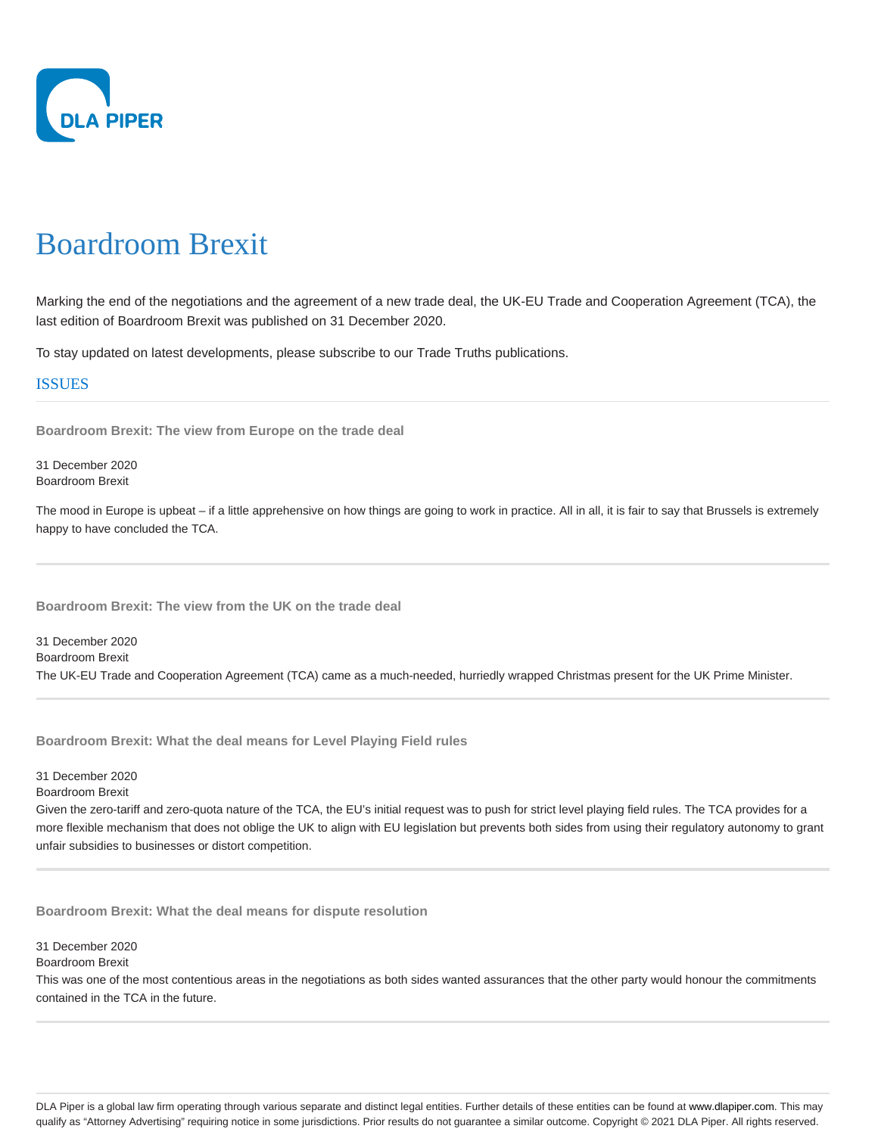

# Boardroom Brexit

Marking the end of the negotiations and the agreement of a new trade deal, the UK-EU Trade and Cooperation Agreement (TCA), the last edition of Boardroom Brexit was published on 31 December 2020.

To stay updated on latest developments, please subscribe to our Trade Truths publications.

# ISSUES

**Boardroom Brexit: The view from Europe on the trade deal**

31 December 2020 Boardroom Brexit

The mood in Europe is upbeat – if a little apprehensive on how things are going to work in practice. All in all, it is fair to say that Brussels is extremely happy to have concluded the TCA.

**Boardroom Brexit: The view from the UK on the trade deal**

31 December 2020 Boardroom Brexit The UK-EU Trade and Cooperation Agreement (TCA) came as a much-needed, hurriedly wrapped Christmas present for the UK Prime Minister.

**Boardroom Brexit: What the deal means for Level Playing Field rules**

31 December 2020

Boardroom Brexit

Given the zero-tariff and zero-quota nature of the TCA, the EU's initial request was to push for strict level playing field rules. The TCA provides for a more flexible mechanism that does not oblige the UK to align with EU legislation but prevents both sides from using their regulatory autonomy to grant unfair subsidies to businesses or distort competition.

**Boardroom Brexit: What the deal means for dispute resolution**

31 December 2020

Boardroom Brexit

This was one of the most contentious areas in the negotiations as both sides wanted assurances that the other party would honour the commitments contained in the TCA in the future.

DLA Piper is a global law firm operating through various separate and distinct legal entities. Further details of these entities can be found at www.dlapiper.com. This may qualify as "Attorney Advertising" requiring notice in some jurisdictions. Prior results do not guarantee a similar outcome. Copyright @ 2021 DLA Piper. All rights reserved.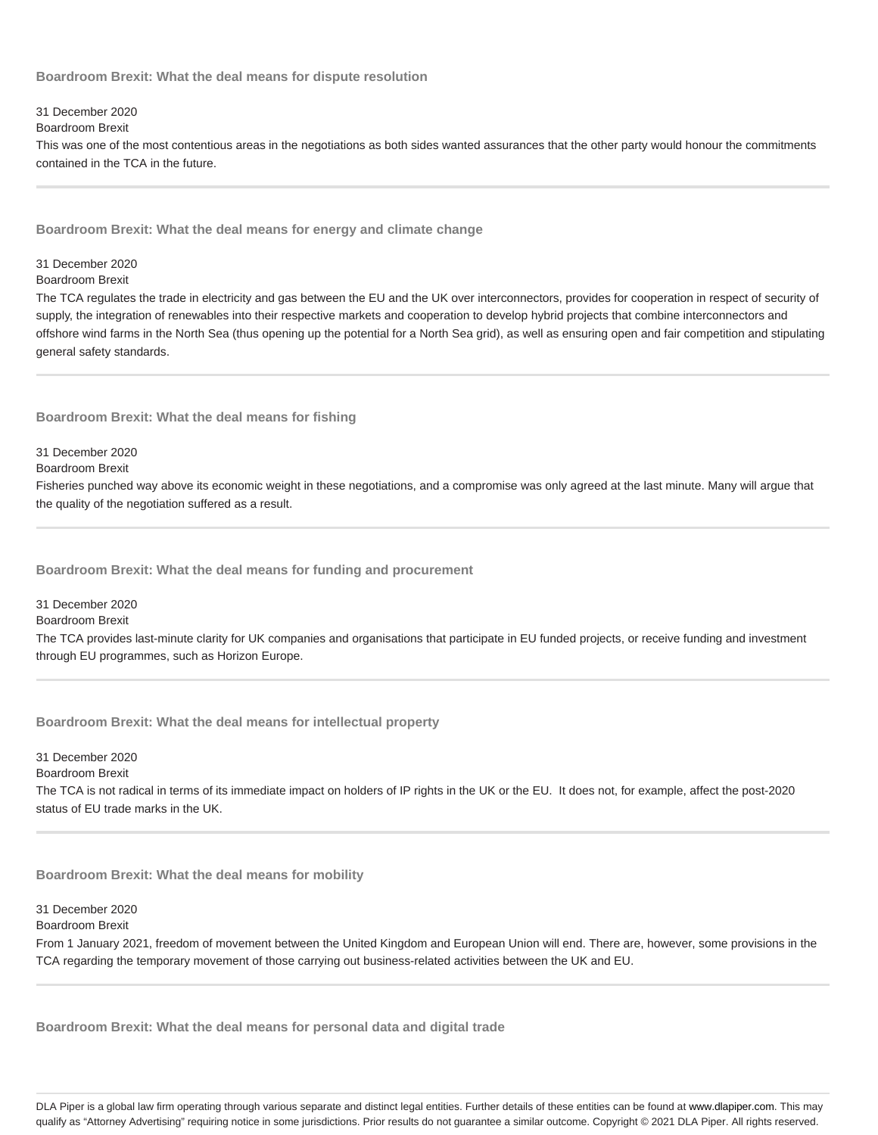**Boardroom Brexit: What the deal means for dispute resolution**

# 31 December 2020

# Boardroom Brexit

This was one of the most contentious areas in the negotiations as both sides wanted assurances that the other party would honour the commitments contained in the TCA in the future.

**Boardroom Brexit: What the deal means for energy and climate change**

### 31 December 2020

#### Boardroom Brexit

The TCA regulates the trade in electricity and gas between the EU and the UK over interconnectors, provides for cooperation in respect of security of supply, the integration of renewables into their respective markets and cooperation to develop hybrid projects that combine interconnectors and offshore wind farms in the North Sea (thus opening up the potential for a North Sea grid), as well as ensuring open and fair competition and stipulating general safety standards.

## **Boardroom Brexit: What the deal means for fishing**

31 December 2020

Boardroom Brexit

Fisheries punched way above its economic weight in these negotiations, and a compromise was only agreed at the last minute. Many will argue that the quality of the negotiation suffered as a result.

**Boardroom Brexit: What the deal means for funding and procurement**

31 December 2020

Boardroom Brexit

The TCA provides last-minute clarity for UK companies and organisations that participate in EU funded projects, or receive funding and investment through EU programmes, such as Horizon Europe.

**Boardroom Brexit: What the deal means for intellectual property**

31 December 2020

Boardroom Brexit

The TCA is not radical in terms of its immediate impact on holders of IP rights in the UK or the EU. It does not, for example, affect the post-2020 status of EU trade marks in the UK.

**Boardroom Brexit: What the deal means for mobility**

#### 31 December 2020

#### Boardroom Brexit

From 1 January 2021, freedom of movement between the United Kingdom and European Union will end. There are, however, some provisions in the TCA regarding the temporary movement of those carrying out business-related activities between the UK and EU.

**Boardroom Brexit: What the deal means for personal data and digital trade**

DLA Piper is a global law firm operating through various separate and distinct legal entities. Further details of these entities can be found at www.dlapiper.com. This may qualify as "Attorney Advertising" requiring notice in some jurisdictions. Prior results do not guarantee a similar outcome. Copyright @ 2021 DLA Piper. All rights reserved.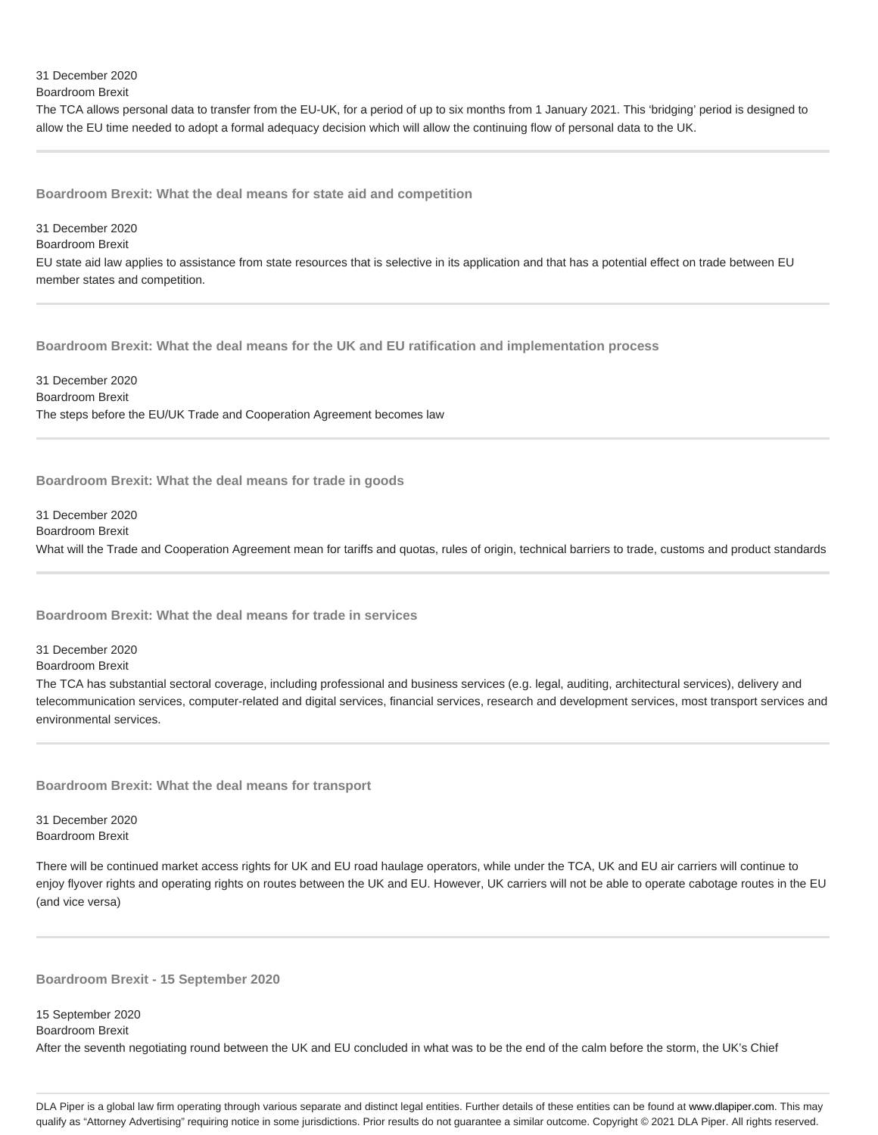31 December 2020 Boardroom Brexit

The TCA allows personal data to transfer from the EU-UK, for a period of up to six months from 1 January 2021. This 'bridging' period is designed to allow the EU time needed to adopt a formal adequacy decision which will allow the continuing flow of personal data to the UK.

**Boardroom Brexit: What the deal means for state aid and competition**

### 31 December 2020

## Boardroom Brexit

EU state aid law applies to assistance from state resources that is selective in its application and that has a potential effect on trade between EU member states and competition.

**Boardroom Brexit: What the deal means for the UK and EU ratification and implementation process**

31 December 2020 Boardroom Brexit The steps before the EU/UK Trade and Cooperation Agreement becomes law

**Boardroom Brexit: What the deal means for trade in goods**

#### 31 December 2020 Boardroom Brexit

What will the Trade and Cooperation Agreement mean for tariffs and quotas, rules of origin, technical barriers to trade, customs and product standards

**Boardroom Brexit: What the deal means for trade in services**

31 December 2020

Boardroom Brexit

The TCA has substantial sectoral coverage, including professional and business services (e.g. legal, auditing, architectural services), delivery and telecommunication services, computer-related and digital services, financial services, research and development services, most transport services and environmental services.

**Boardroom Brexit: What the deal means for transport**

31 December 2020 Boardroom Brexit

There will be continued market access rights for UK and EU road haulage operators, while under the TCA, UK and EU air carriers will continue to enjoy flyover rights and operating rights on routes between the UK and EU. However, UK carriers will not be able to operate cabotage routes in the EU (and vice versa)

**Boardroom Brexit - 15 September 2020**

15 September 2020

Boardroom Brexit

After the seventh negotiating round between the UK and EU concluded in what was to be the end of the calm before the storm, the UK's Chief

DLA Piper is a global law firm operating through various separate and distinct legal entities. Further details of these entities can be found at www.dlapiper.com. This may qualify as "Attorney Advertising" requiring notice in some jurisdictions. Prior results do not guarantee a similar outcome. Copyright @ 2021 DLA Piper. All rights reserved.